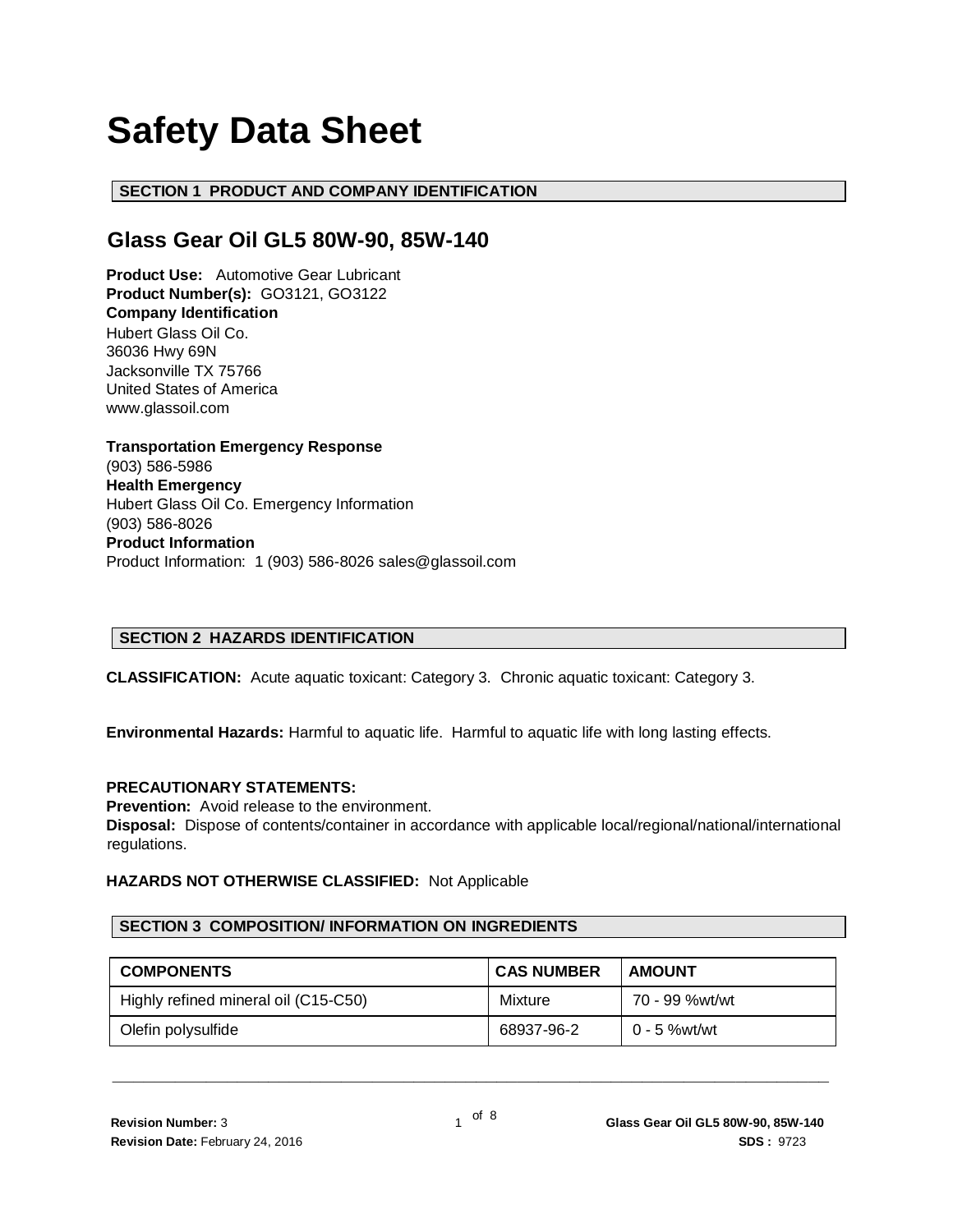# **Safety Data Sheet**

# **SECTION 1 PRODUCT AND COMPANY IDENTIFICATION**

# **Glass Gear Oil GL5 80W-90, 85W-140**

**Product Use:** Automotive Gear Lubricant **Product Number(s):** GO3121, GO3122 **Company Identification** Hubert Glass Oil Co. 36036 Hwy 69N Jacksonville TX 75766 United States of America www.glassoil.com

**Transportation Emergency Response** (903) 586-5986 **Health Emergency** Hubert Glass Oil Co. Emergency Information (903) 586-8026 **Product Information**  Product Information: 1 (903) 586-8026 sales@glassoil.com

# **SECTION 2 HAZARDS IDENTIFICATION**

**CLASSIFICATION:** Acute aquatic toxicant: Category 3. Chronic aquatic toxicant: Category 3.

**Environmental Hazards:** Harmful to aquatic life. Harmful to aquatic life with long lasting effects.

#### **PRECAUTIONARY STATEMENTS:**

**Prevention:** Avoid release to the environment.

**Disposal:** Dispose of contents/container in accordance with applicable local/regional/national/international regulations.

# **HAZARDS NOT OTHERWISE CLASSIFIED:** Not Applicable

#### **SECTION 3 COMPOSITION/ INFORMATION ON INGREDIENTS**

| <b>COMPONENTS</b>                    | <b>CAS NUMBER</b> | <b>AMOUNT</b>  |
|--------------------------------------|-------------------|----------------|
| Highly refined mineral oil (C15-C50) | Mixture           | 70 - 99 %wt/wt |
| Olefin polysulfide                   | 68937-96-2        | 0 - 5 %wt/wt   |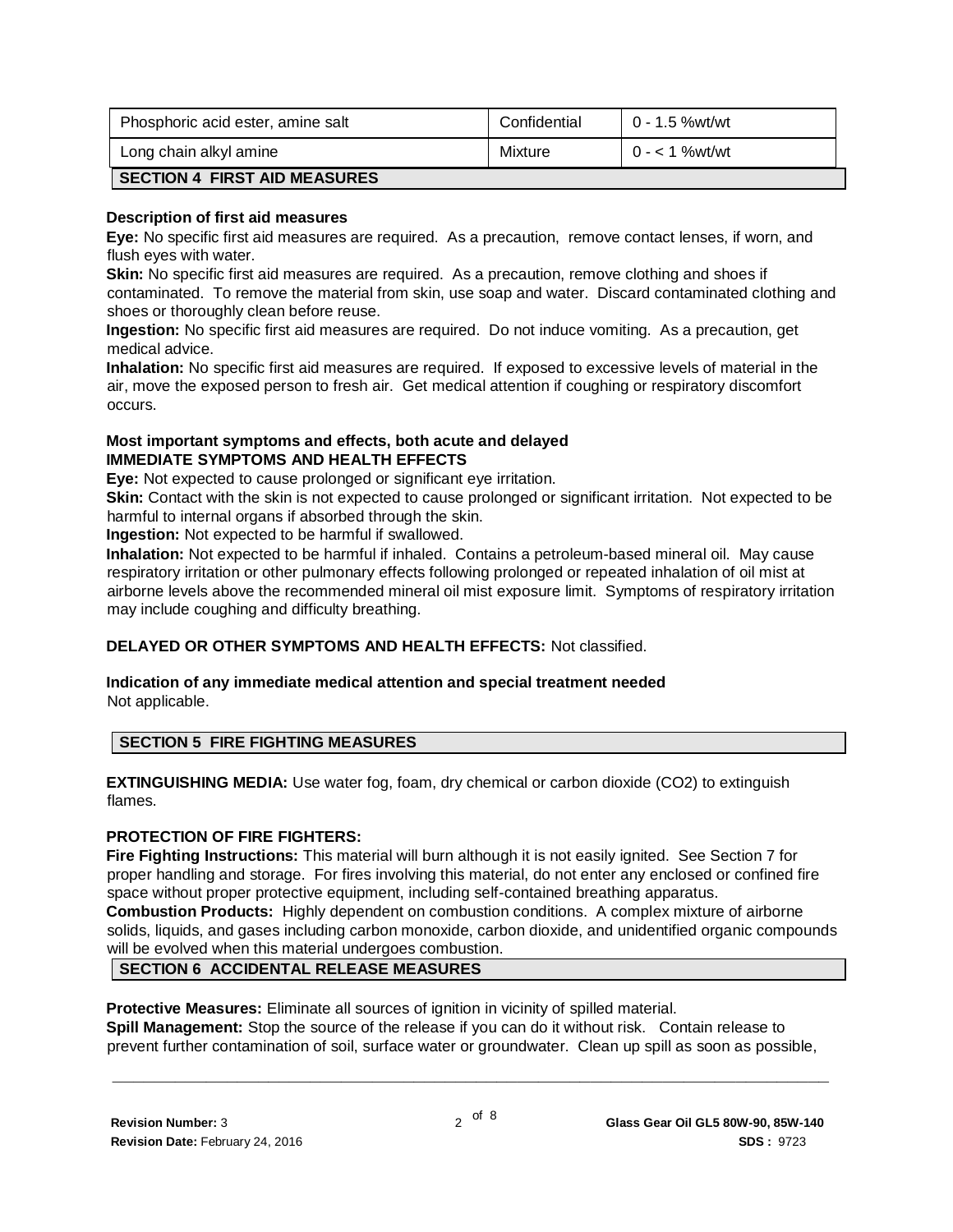| Phosphoric acid ester, amine salt   | Confidential | 0 - 1.5 %wt/wt |
|-------------------------------------|--------------|----------------|
| Long chain alkyl amine              | Mixture      | $0 - 1$ %wt/wt |
| <b>SECTION 4 FIRST AID MEASURES</b> |              |                |

#### **Description of first aid measures**

**Eye:** No specific first aid measures are required. As a precaution, remove contact lenses, if worn, and flush eyes with water.

**Skin:** No specific first aid measures are required. As a precaution, remove clothing and shoes if contaminated. To remove the material from skin, use soap and water. Discard contaminated clothing and shoes or thoroughly clean before reuse.

**Ingestion:** No specific first aid measures are required. Do not induce vomiting. As a precaution, get medical advice.

**Inhalation:** No specific first aid measures are required. If exposed to excessive levels of material in the air, move the exposed person to fresh air. Get medical attention if coughing or respiratory discomfort occurs.

#### **Most important symptoms and effects, both acute and delayed IMMEDIATE SYMPTOMS AND HEALTH EFFECTS**

**Eye:** Not expected to cause prolonged or significant eye irritation.

**Skin:** Contact with the skin is not expected to cause prolonged or significant irritation. Not expected to be harmful to internal organs if absorbed through the skin.

**Ingestion:** Not expected to be harmful if swallowed.

**Inhalation:** Not expected to be harmful if inhaled. Contains a petroleum-based mineral oil. May cause respiratory irritation or other pulmonary effects following prolonged or repeated inhalation of oil mist at airborne levels above the recommended mineral oil mist exposure limit. Symptoms of respiratory irritation may include coughing and difficulty breathing.

#### **DELAYED OR OTHER SYMPTOMS AND HEALTH EFFECTS:** Not classified.

#### **Indication of any immediate medical attention and special treatment needed**  Not applicable.

#### **SECTION 5 FIRE FIGHTING MEASURES**

**EXTINGUISHING MEDIA:** Use water fog, foam, dry chemical or carbon dioxide (CO2) to extinguish flames.

#### **PROTECTION OF FIRE FIGHTERS:**

**Fire Fighting Instructions:** This material will burn although it is not easily ignited. See Section 7 for proper handling and storage. For fires involving this material, do not enter any enclosed or confined fire space without proper protective equipment, including self-contained breathing apparatus. **Combustion Products:** Highly dependent on combustion conditions. A complex mixture of airborne solids, liquids, and gases including carbon monoxide, carbon dioxide, and unidentified organic compounds will be evolved when this material undergoes combustion.

# **SECTION 6 ACCIDENTAL RELEASE MEASURES**

**Protective Measures:** Eliminate all sources of ignition in vicinity of spilled material. **Spill Management:** Stop the source of the release if you can do it without risk. Contain release to prevent further contamination of soil, surface water or groundwater. Clean up spill as soon as possible,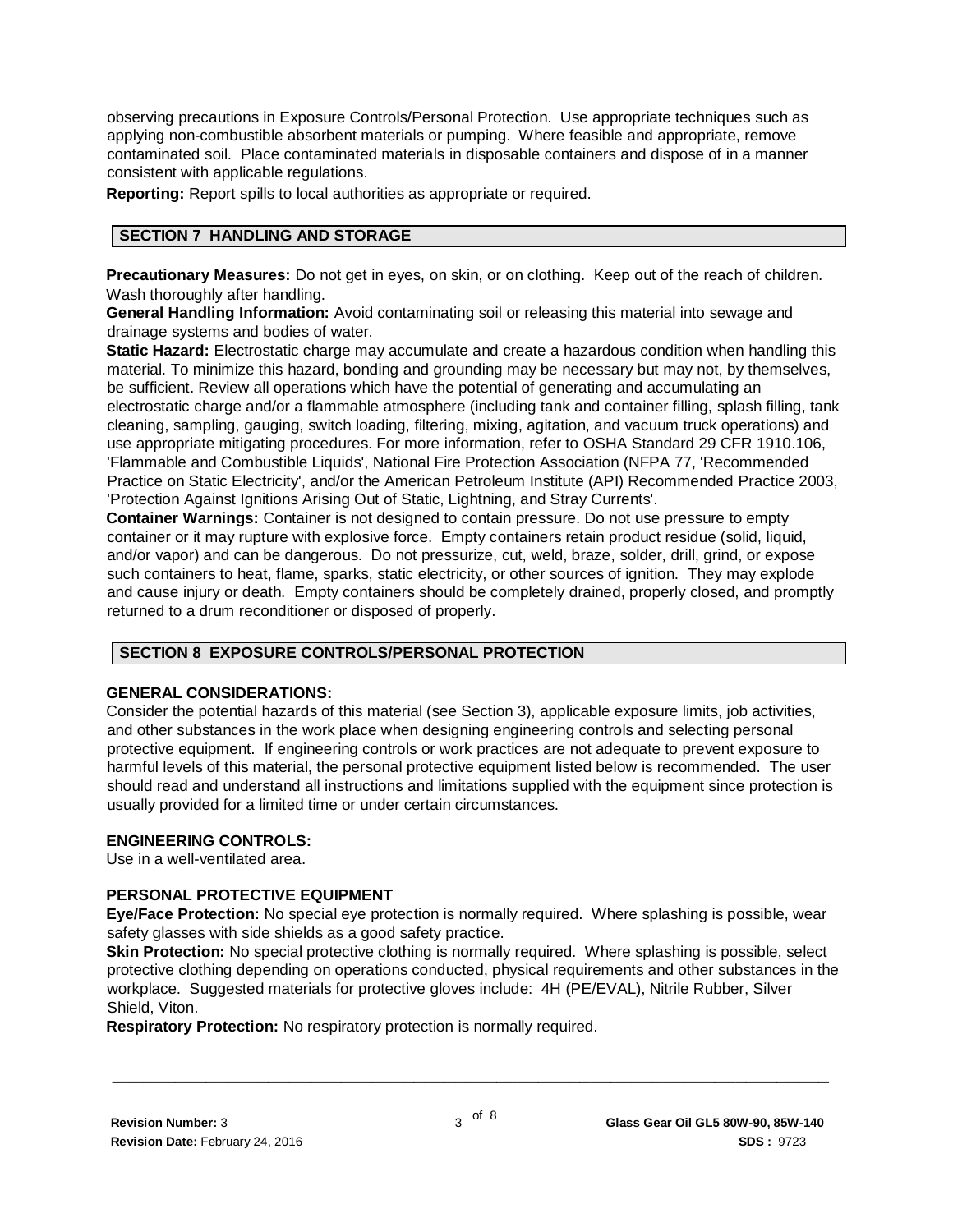observing precautions in Exposure Controls/Personal Protection. Use appropriate techniques such as applying non-combustible absorbent materials or pumping. Where feasible and appropriate, remove contaminated soil. Place contaminated materials in disposable containers and dispose of in a manner consistent with applicable regulations.

**Reporting:** Report spills to local authorities as appropriate or required.

# **SECTION 7 HANDLING AND STORAGE**

**Precautionary Measures:** Do not get in eyes, on skin, or on clothing. Keep out of the reach of children. Wash thoroughly after handling.

**General Handling Information:** Avoid contaminating soil or releasing this material into sewage and drainage systems and bodies of water.

**Static Hazard:** Electrostatic charge may accumulate and create a hazardous condition when handling this material. To minimize this hazard, bonding and grounding may be necessary but may not, by themselves, be sufficient. Review all operations which have the potential of generating and accumulating an electrostatic charge and/or a flammable atmosphere (including tank and container filling, splash filling, tank cleaning, sampling, gauging, switch loading, filtering, mixing, agitation, and vacuum truck operations) and use appropriate mitigating procedures. For more information, refer to OSHA Standard 29 CFR 1910.106, 'Flammable and Combustible Liquids', National Fire Protection Association (NFPA 77, 'Recommended Practice on Static Electricity', and/or the American Petroleum Institute (API) Recommended Practice 2003, 'Protection Against Ignitions Arising Out of Static, Lightning, and Stray Currents'.

**Container Warnings:** Container is not designed to contain pressure. Do not use pressure to empty container or it may rupture with explosive force. Empty containers retain product residue (solid, liquid, and/or vapor) and can be dangerous. Do not pressurize, cut, weld, braze, solder, drill, grind, or expose such containers to heat, flame, sparks, static electricity, or other sources of ignition. They may explode and cause injury or death. Empty containers should be completely drained, properly closed, and promptly returned to a drum reconditioner or disposed of properly.

#### **SECTION 8 EXPOSURE CONTROLS/PERSONAL PROTECTION**

#### **GENERAL CONSIDERATIONS:**

Consider the potential hazards of this material (see Section 3), applicable exposure limits, job activities, and other substances in the work place when designing engineering controls and selecting personal protective equipment. If engineering controls or work practices are not adequate to prevent exposure to harmful levels of this material, the personal protective equipment listed below is recommended. The user should read and understand all instructions and limitations supplied with the equipment since protection is usually provided for a limited time or under certain circumstances.

#### **ENGINEERING CONTROLS:**

Use in a well-ventilated area.

# **PERSONAL PROTECTIVE EQUIPMENT**

**Eye/Face Protection:** No special eye protection is normally required. Where splashing is possible, wear safety glasses with side shields as a good safety practice.

**Skin Protection:** No special protective clothing is normally required. Where splashing is possible, select protective clothing depending on operations conducted, physical requirements and other substances in the workplace. Suggested materials for protective gloves include: 4H (PE/EVAL), Nitrile Rubber, Silver Shield, Viton.

**Respiratory Protection:** No respiratory protection is normally required.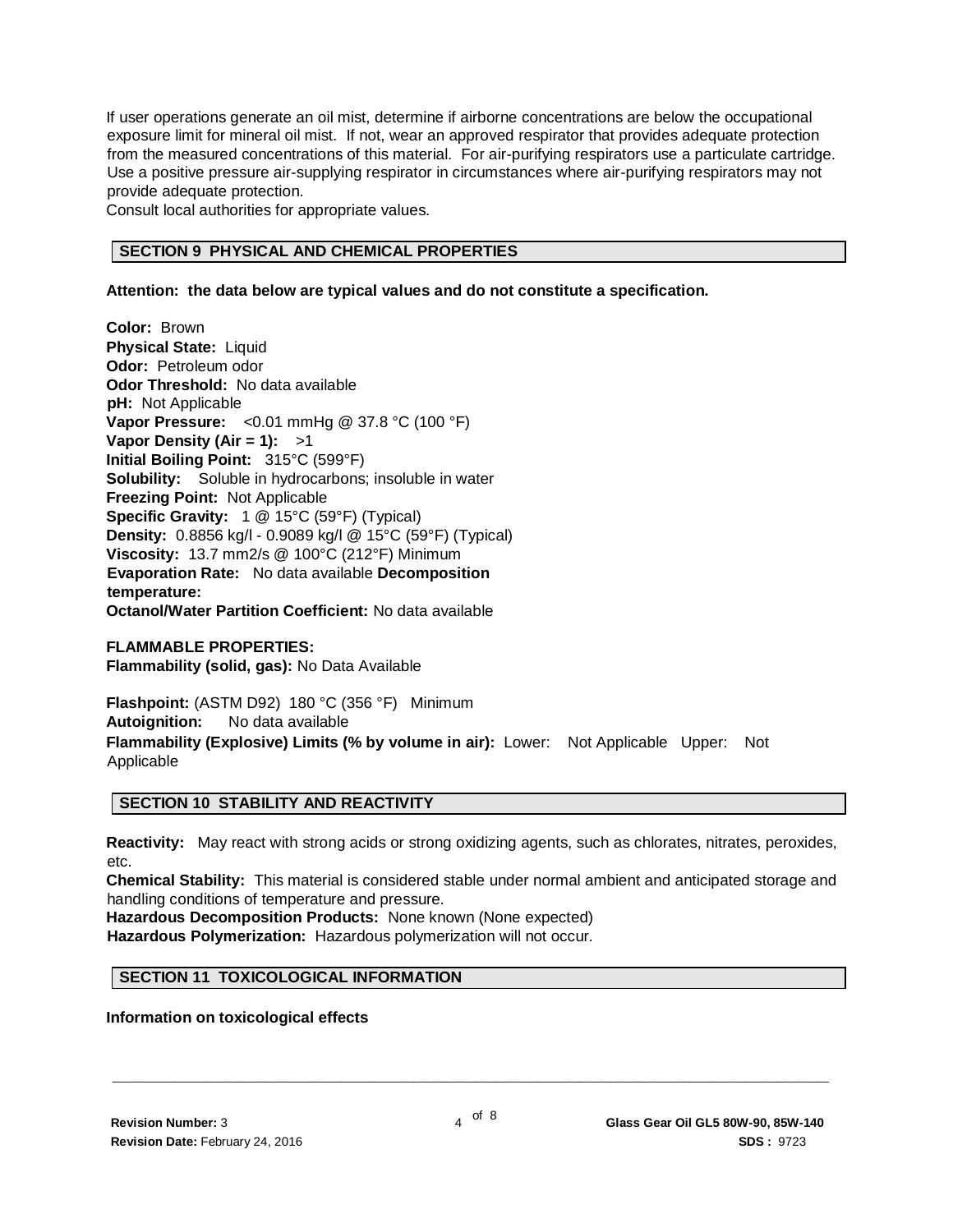If user operations generate an oil mist, determine if airborne concentrations are below the occupational exposure limit for mineral oil mist. If not, wear an approved respirator that provides adequate protection from the measured concentrations of this material. For air-purifying respirators use a particulate cartridge. Use a positive pressure air-supplying respirator in circumstances where air-purifying respirators may not provide adequate protection.

Consult local authorities for appropriate values.

#### **SECTION 9 PHYSICAL AND CHEMICAL PROPERTIES**

#### **Attention: the data below are typical values and do not constitute a specification.**

**Color:** Brown **Physical State:** Liquid **Odor:** Petroleum odor **Odor Threshold:** No data available **pH:** Not Applicable **Vapor Pressure:** <0.01 mmHg @ 37.8 °C (100 °F) **Vapor Density (Air = 1):** >1 **Initial Boiling Point:** 315°C (599°F) **Solubility:** Soluble in hydrocarbons; insoluble in water **Freezing Point:** Not Applicable **Specific Gravity:** 1 @ 15°C (59°F) (Typical) **Density:** 0.8856 kg/l - 0.9089 kg/l @ 15°C (59°F) (Typical) **Viscosity:** 13.7 mm2/s @ 100°C (212°F) Minimum **Evaporation Rate:** No data available **Decomposition temperature: Octanol/Water Partition Coefficient:** No data available

**FLAMMABLE PROPERTIES: Flammability (solid, gas):** No Data Available

**Flashpoint:** (ASTM D92) 180 °C (356 °F) Minimum **Autoignition:** No data available **Flammability (Explosive) Limits (% by volume in air):** Lower: Not Applicable Upper: Not Applicable

#### **SECTION 10 STABILITY AND REACTIVITY**

**Reactivity:** May react with strong acids or strong oxidizing agents, such as chlorates, nitrates, peroxides, etc.

**Chemical Stability:** This material is considered stable under normal ambient and anticipated storage and handling conditions of temperature and pressure.

**Hazardous Decomposition Products:** None known (None expected) **Hazardous Polymerization:** Hazardous polymerization will not occur.

# **SECTION 11 TOXICOLOGICAL INFORMATION**

#### **Information on toxicological effects**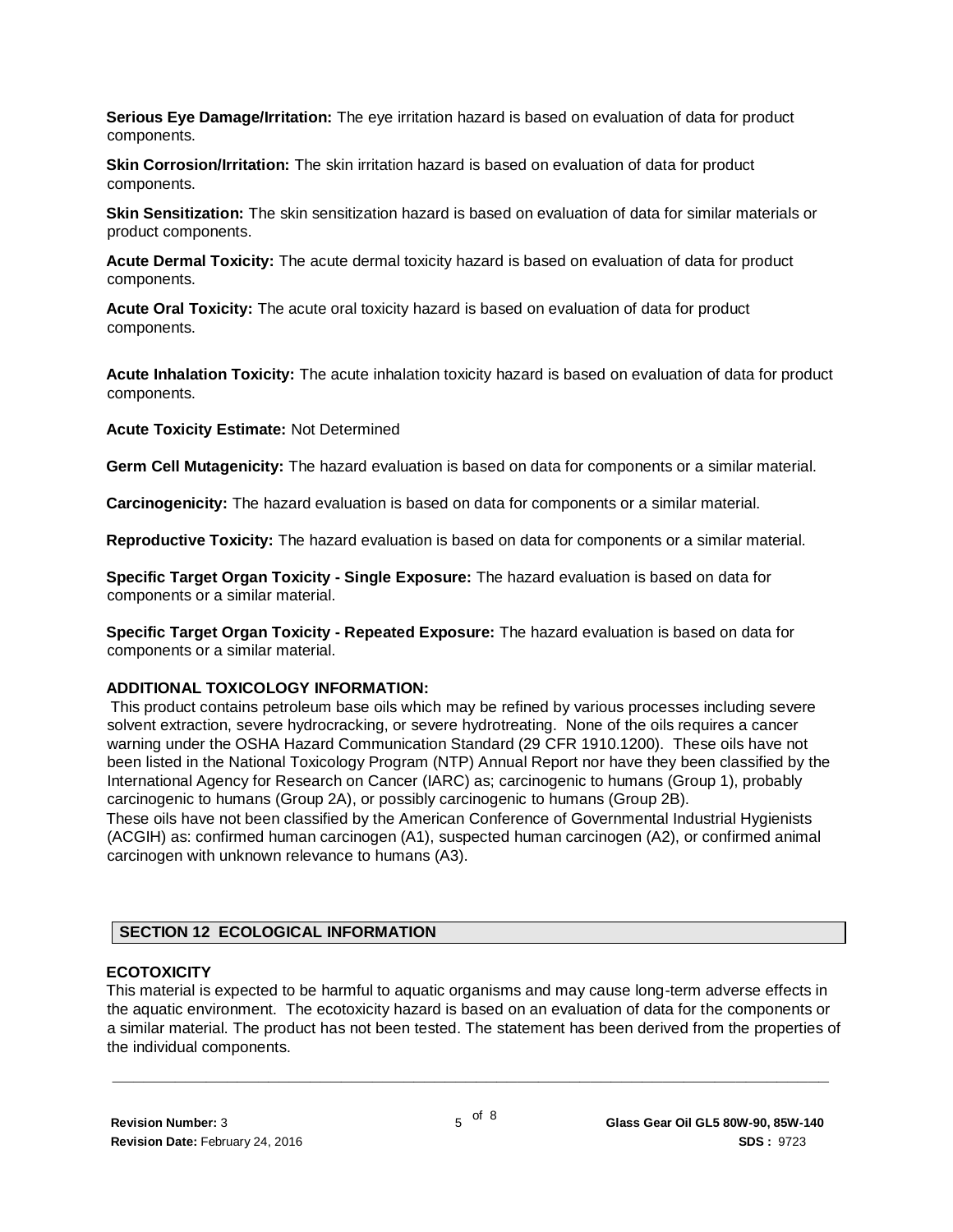**Serious Eye Damage/Irritation:** The eye irritation hazard is based on evaluation of data for product components.

**Skin Corrosion/Irritation:** The skin irritation hazard is based on evaluation of data for product components.

**Skin Sensitization:** The skin sensitization hazard is based on evaluation of data for similar materials or product components.

**Acute Dermal Toxicity:** The acute dermal toxicity hazard is based on evaluation of data for product components.

**Acute Oral Toxicity:** The acute oral toxicity hazard is based on evaluation of data for product components.

**Acute Inhalation Toxicity:** The acute inhalation toxicity hazard is based on evaluation of data for product components.

**Acute Toxicity Estimate:** Not Determined

**Germ Cell Mutagenicity:** The hazard evaluation is based on data for components or a similar material.

**Carcinogenicity:** The hazard evaluation is based on data for components or a similar material.

**Reproductive Toxicity:** The hazard evaluation is based on data for components or a similar material.

**Specific Target Organ Toxicity - Single Exposure:** The hazard evaluation is based on data for components or a similar material.

**Specific Target Organ Toxicity - Repeated Exposure:** The hazard evaluation is based on data for components or a similar material.

#### **ADDITIONAL TOXICOLOGY INFORMATION:**

This product contains petroleum base oils which may be refined by various processes including severe solvent extraction, severe hydrocracking, or severe hydrotreating. None of the oils requires a cancer warning under the OSHA Hazard Communication Standard (29 CFR 1910.1200). These oils have not been listed in the National Toxicology Program (NTP) Annual Report nor have they been classified by the International Agency for Research on Cancer (IARC) as; carcinogenic to humans (Group 1), probably carcinogenic to humans (Group 2A), or possibly carcinogenic to humans (Group 2B).

These oils have not been classified by the American Conference of Governmental Industrial Hygienists (ACGIH) as: confirmed human carcinogen (A1), suspected human carcinogen (A2), or confirmed animal carcinogen with unknown relevance to humans (A3).

#### **SECTION 12 ECOLOGICAL INFORMATION**

#### **ECOTOXICITY**

This material is expected to be harmful to aquatic organisms and may cause long-term adverse effects in the aquatic environment. The ecotoxicity hazard is based on an evaluation of data for the components or a similar material. The product has not been tested. The statement has been derived from the properties of the individual components.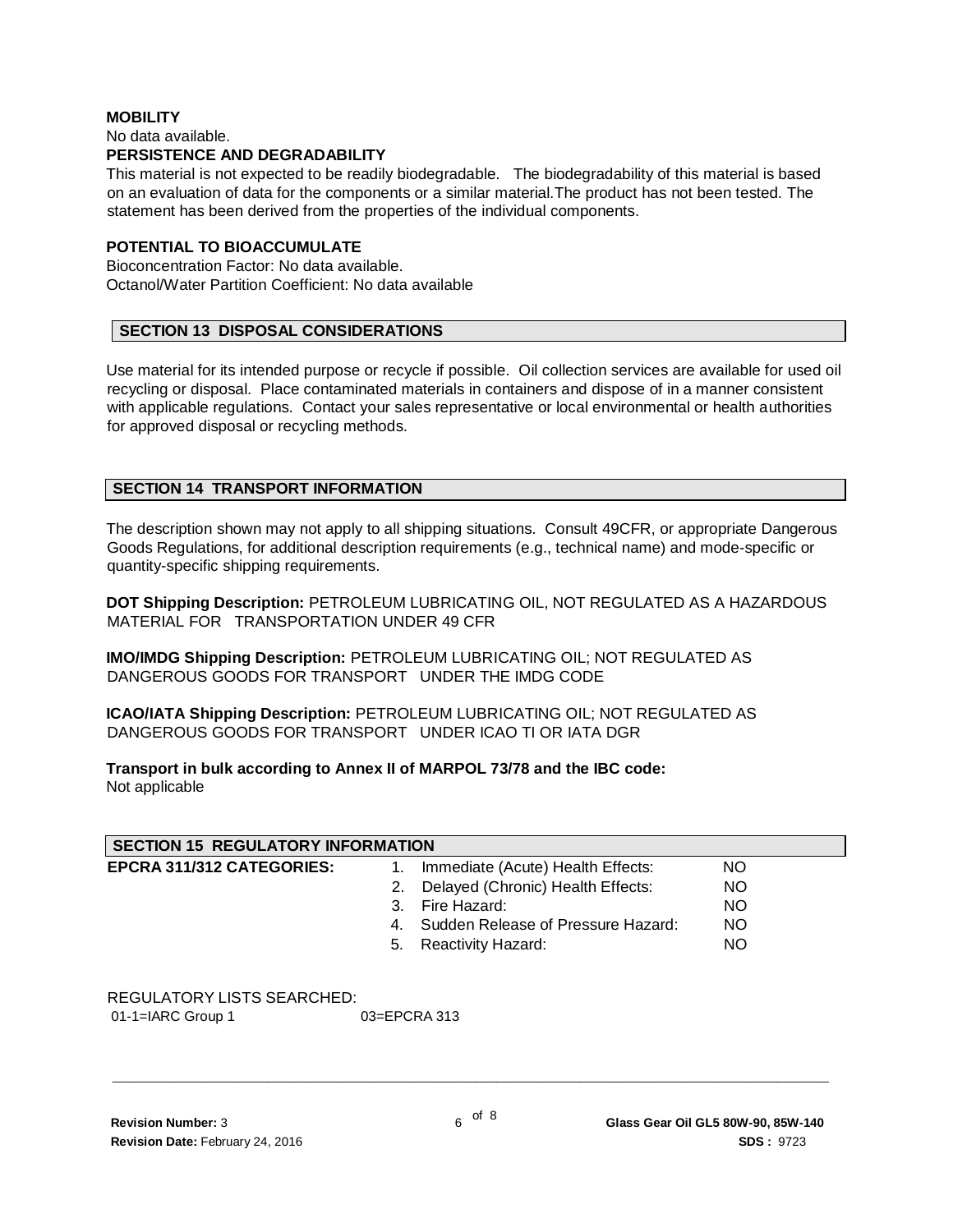#### **MOBILITY** No data available. **PERSISTENCE AND DEGRADABILITY**

This material is not expected to be readily biodegradable. The biodegradability of this material is based on an evaluation of data for the components or a similar material.The product has not been tested. The statement has been derived from the properties of the individual components.

# **POTENTIAL TO BIOACCUMULATE**

Bioconcentration Factor: No data available. Octanol/Water Partition Coefficient: No data available

# **SECTION 13 DISPOSAL CONSIDERATIONS**

Use material for its intended purpose or recycle if possible. Oil collection services are available for used oil recycling or disposal. Place contaminated materials in containers and dispose of in a manner consistent with applicable regulations. Contact your sales representative or local environmental or health authorities for approved disposal or recycling methods.

# **SECTION 14 TRANSPORT INFORMATION**

The description shown may not apply to all shipping situations. Consult 49CFR, or appropriate Dangerous Goods Regulations, for additional description requirements (e.g., technical name) and mode-specific or quantity-specific shipping requirements.

**DOT Shipping Description:** PETROLEUM LUBRICATING OIL, NOT REGULATED AS A HAZARDOUS MATERIAL FOR TRANSPORTATION UNDER 49 CFR

**IMO/IMDG Shipping Description:** PETROLEUM LUBRICATING OIL; NOT REGULATED AS DANGEROUS GOODS FOR TRANSPORT UNDER THE IMDG CODE

**ICAO/IATA Shipping Description:** PETROLEUM LUBRICATING OIL; NOT REGULATED AS DANGEROUS GOODS FOR TRANSPORT UNDER ICAO TI OR IATA DGR

**Transport in bulk according to Annex II of MARPOL 73/78 and the IBC code:** Not applicable

| <b>SECTION 15 REGULATORY INFORMATION</b> |    |                                       |           |  |
|------------------------------------------|----|---------------------------------------|-----------|--|
| <b>EPCRA 311/312 CATEGORIES:</b>         | 1. | Immediate (Acute) Health Effects:     | NO.       |  |
|                                          |    | 2. Delayed (Chronic) Health Effects:  | NO.       |  |
|                                          |    | 3. Fire Hazard:                       | NO.       |  |
|                                          |    | 4. Sudden Release of Pressure Hazard: | <b>NO</b> |  |
|                                          |    | 5. Reactivity Hazard:                 | <b>NO</b> |  |

# REGULATORY LISTS SEARCHED:

01-1=IARC Group 1 03=EPCRA 313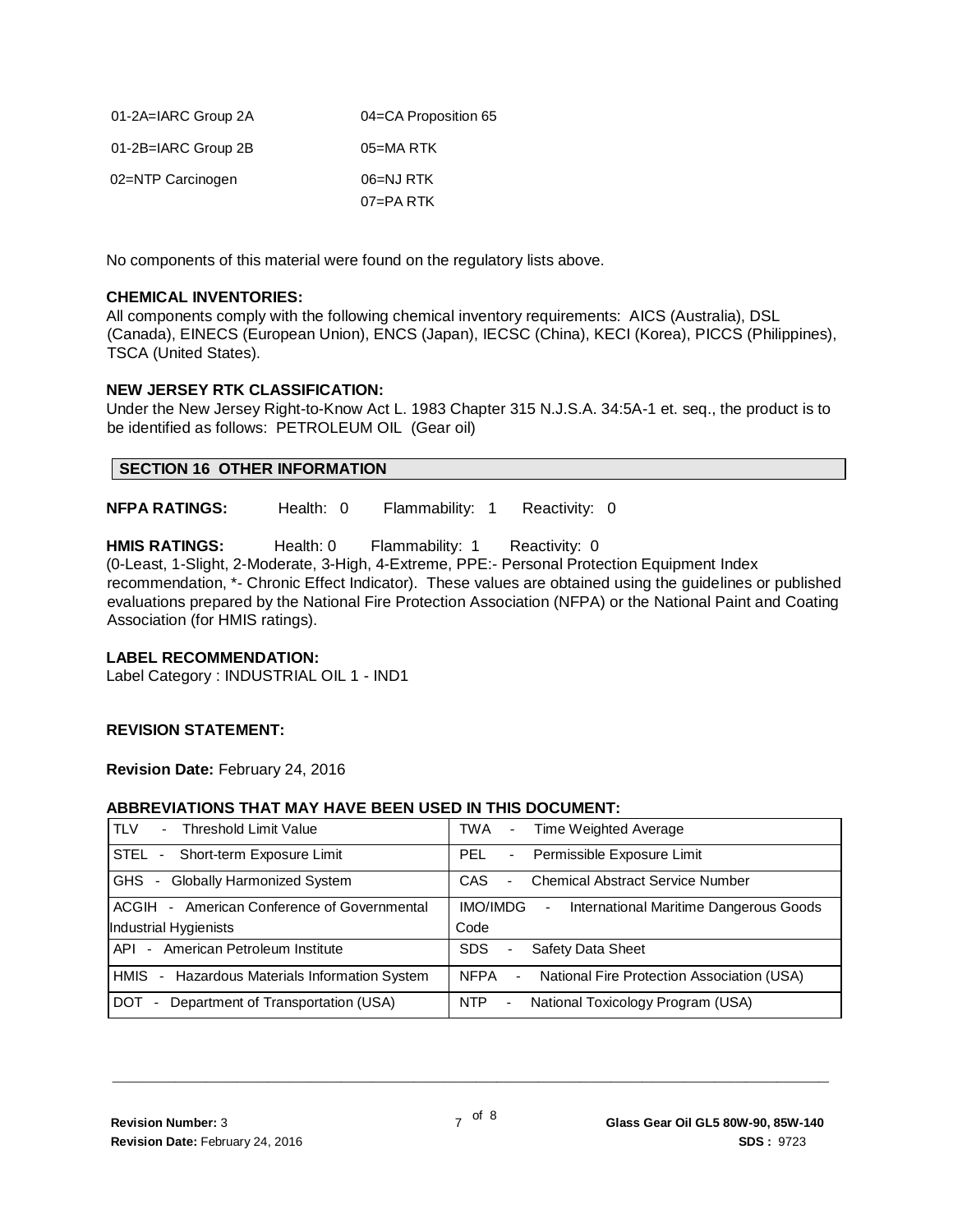| 01-2A=IARC Group 2A | 04=CA Proposition 65 |
|---------------------|----------------------|
| 01-2B=IARC Group 2B | $05 = MA$ RTK        |
| 02=NTP Carcinogen   | 06=NJ RTK            |
|                     | 07=PARTK             |

No components of this material were found on the regulatory lists above.

#### **CHEMICAL INVENTORIES:**

All components comply with the following chemical inventory requirements: AICS (Australia), DSL (Canada), EINECS (European Union), ENCS (Japan), IECSC (China), KECI (Korea), PICCS (Philippines), TSCA (United States).

#### **NEW JERSEY RTK CLASSIFICATION:**

Under the New Jersey Right-to-Know Act L. 1983 Chapter 315 N.J.S.A. 34:5A-1 et. seq., the product is to be identified as follows: PETROLEUM OIL (Gear oil)

#### **SECTION 16 OTHER INFORMATION**

**NFPA RATINGS:** Health: 0 Flammability: 1 Reactivity: 0

**HMIS RATINGS:** Health: 0 Flammability: 1 Reactivity: 0 (0-Least, 1-Slight, 2-Moderate, 3-High, 4-Extreme, PPE:- Personal Protection Equipment Index recommendation, \*- Chronic Effect Indicator). These values are obtained using the guidelines or published evaluations prepared by the National Fire Protection Association (NFPA) or the National Paint and Coating Association (for HMIS ratings).

#### **LABEL RECOMMENDATION:**

Label Category : INDUSTRIAL OIL 1 - IND1

#### **REVISION STATEMENT:**

**Revision Date:** February 24, 2016

#### **ABBREVIATIONS THAT MAY HAVE BEEN USED IN THIS DOCUMENT:**

| <b>TLV</b>                                  | Time Weighted Average                                                       |
|---------------------------------------------|-----------------------------------------------------------------------------|
| Threshold Limit Value                       | TWA                                                                         |
| $\overline{\phantom{0}}$                    | $\sim$                                                                      |
| STEL                                        | PEL                                                                         |
| Short-term Exposure Limit                   | Permissible Exposure Limit                                                  |
| $\sim$                                      | $\overline{\phantom{a}}$                                                    |
| GHS                                         | CAS                                                                         |
| <b>Globally Harmonized System</b>           | <b>Chemical Abstract Service Number</b>                                     |
| $\sim$                                      | ٠                                                                           |
| ACGIH - American Conference of Governmental | IMO/IMDG<br>International Maritime Dangerous Goods                          |
| Industrial Hygienists                       | Code                                                                        |
| API - American Petroleum Institute          | Safety Data Sheet<br><b>SDS</b><br>٠                                        |
| Hazardous Materials Information System      | <b>NFPA</b>                                                                 |
| HMIS                                        | National Fire Protection Association (USA)                                  |
| $\sim$                                      | $\sim$                                                                      |
| DOT.<br>Department of Transportation (USA)  | National Toxicology Program (USA)<br><b>NTP</b><br>$\overline{\phantom{a}}$ |